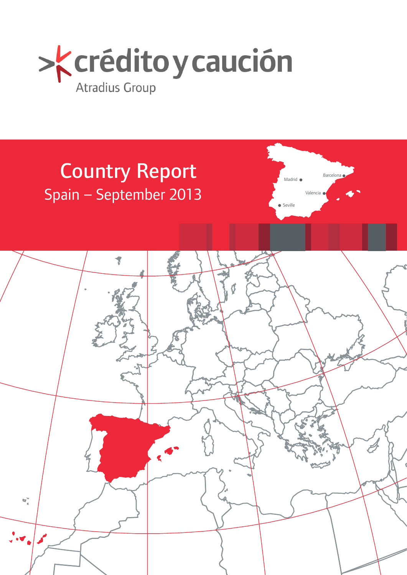

# Country Report Spain – September 2013



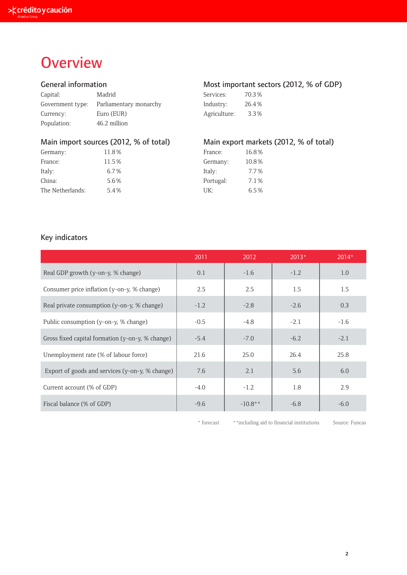## **Overview**

| Capital:    | Madrid                                  | Services:    | 70.3% |
|-------------|-----------------------------------------|--------------|-------|
|             | Government type: Parliamentary monarchy | Industry:    | 26.4% |
| Currency:   | Euro (EUR)                              | Agriculture: | 3.3%  |
| Population: | 46.2 million                            |              |       |

| Germany:         | 11.8% | France:   | 16.8% |
|------------------|-------|-----------|-------|
| France:          | 11.5% | Germany:  | 10.8% |
| Italy:           | 6.7%  | Italy:    | 7.7%  |
| China:           | 5.6%  | Portugal: | 7.1%  |
| The Netherlands: | 5.4%  | UK:       | 6.5%  |

## General information **Most important sectors (2012, % of GDP)**

| Services:    | 70.3% |  |  |
|--------------|-------|--|--|
| Industry:    | 26.4% |  |  |
| Agriculture: | 3.3%  |  |  |

## Main import sources (2012, % of total) Main export markets (2012, % of total)

| France:   | 16.8% |  |  |
|-----------|-------|--|--|
| Germany:  | 10.8% |  |  |
| Italy:    | 7.7%  |  |  |
| Portugal: | 7.1%  |  |  |
| UK:       | 6.5%  |  |  |

## Key indicators

|                                                  | 2011   | 2012      | $2013*$ | $2014*$ |
|--------------------------------------------------|--------|-----------|---------|---------|
| Real GDP growth (y-on-y, % change)               | 0.1    | $-1.6$    | $-1.2$  | 1.0     |
| Consumer price inflation (y-on-y, % change)      | 2.5    | 2.5       | 1.5     | 1.5     |
| Real private consumption (y-on-y, % change)      | $-1.2$ | $-2.8$    | $-2.6$  | 0.3     |
| Public consumption (y-on-y, % change)            | $-0.5$ | $-4.8$    | $-2.1$  | $-1.6$  |
| Gross fixed capital formation (y-on-y, % change) | $-5.4$ | $-7.0$    | $-6.2$  | $-2.1$  |
| Unemployment rate (% of labour force)            | 21.6   | 25.0      | 26.4    | 25.8    |
| Export of goods and services (y-on-y, % change)  | 7.6    | 2.1       | 5.6     | 6.0     |
| Current account (% of GDP)                       | $-4.0$ | $-1.2$    | 1.8     | 2.9     |
| Fiscal balance (% of GDP)                        | $-9.6$ | $-10.8**$ | $-6.8$  | $-6.0$  |

\* forecast \*\*including aid to financial institutions Source: Funcas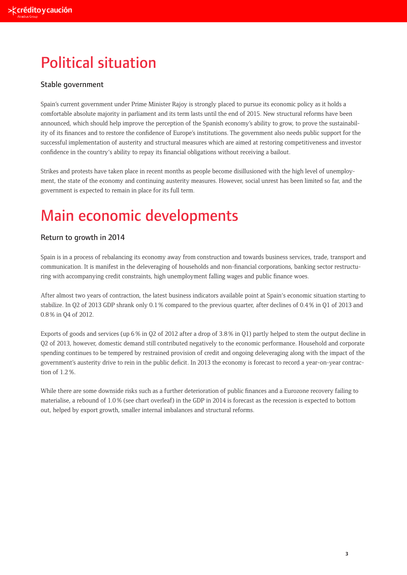## Political situation

## Stable government

Spain's current government under Prime Minister Rajoy is strongly placed to pursue its economic policy as it holds a comfortable absolute majority in parliament and its term lasts until the end of 2015. New structural reforms have been announced, which should help improve the perception of the Spanish economy's ability to grow, to prove the sustainability of its finances and to restore the confidence of Europe's institutions. The government also needs public support for the successful implementation of austerity and structural measures which are aimed at restoring competitiveness and investor confidence in the country's ability to repay its financial obligations without receiving a bailout.

Strikes and protests have taken place in recent months as people become disillusioned with the high level of unemployment, the state of the economy and continuing austerity measures. However, social unrest has been limited so far, and the government is expected to remain in place for its full term.

## Main economic developments

## Return to growth in 2014

Spain is in a process of rebalancing its economy away from construction and towards business services, trade, transport and communication. It is manifest in the deleveraging of households and non-financial corporations, banking sector restructuring with accompanying credit constraints, high unemployment falling wages and public finance woes.

After almost two years of contraction, the latest business indicators available point at Spain's economic situation starting to stabilize. In Q2 of 2013 GDP shrank only 0.1 % compared to the previous quarter, after declines of 0.4 % in Q1 of 2013 and 0.8 % in Q4 of 2012.

Exports of goods and services (up 6% in O2 of 2012 after a drop of 3.8% in O1) partly helped to stem the output decline in Q2 of 2013, however, domestic demand still contributed negatively to the economic performance. Household and corporate spending continues to be tempered by restrained provision of credit and ongoing deleveraging along with the impact of the government's austerity drive to rein in the public deficit. In 2013 the economy is forecast to record a year-on-year contraction of 1.2 %.

While there are some downside risks such as a further deterioration of public finances and a Eurozone recovery failing to materialise, a rebound of 1.0 % (see chart overleaf) in the GDP in 2014 is forecast as the recession is expected to bottom out, helped by export growth, smaller internal imbalances and structural reforms.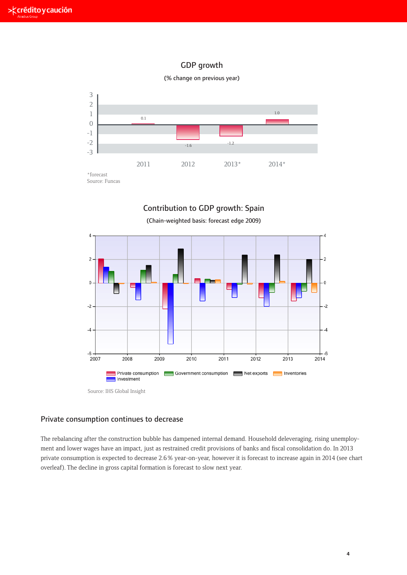## GDP growth





## Contribution to GDP growth: Spain



(Chain-weighted basis: forecast edge 2009)

Source: IHS Global Insight

## Private consumption continues to decrease

The rebalancing after the construction bubble has dampened internal demand. Household deleveraging, rising unemployment and lower wages have an impact, just as restrained credit provisions of banks and fiscal consolidation do. In 2013 private consumption is expected to decrease 2.6 % year-on-year, however it is forecast to increase again in 2014 (see chart overleaf). The decline in gross capital formation is forecast to slow next year.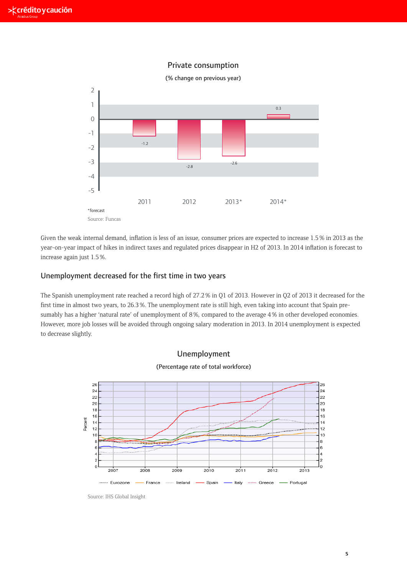## Private consumption



**Unemployment decreased for the first time in two years** year-on-year impact of hikes in indirect taxes and regulated prices disappear in H2 of 2013. In 2014 inflation is forecast to Given the weak internal demand, inflation is less of an issue, consumer prices are expected to increase 1.5 % in 2013 as the increase again just 1.5 %.

## The Spanish unemployment rate reached a record high of 27.2% in Q1 of 2013. However in Unemployment decreased for the first time in two years

The Spanish unemployment rate reached a record high of 27.2% in Q1 of 2013. However in Q2 of 2013 it decreased for the first time in almost two years, to 26.3 %. The unemployment rate is still high, even taking into account that Spain pre-<br>first time in almost two years, to 26.3 %. The unemployment rate is still high, even taking into acco and the average two years, to 2019 to: the anomployment rate is sumargin, even taking mediciously has a higher 'natural rate' of unemployment of 8 %, compared to the average 4 % in other developed economies. However, more job losses will be avoided through ongoing salary moderation in 2013. In 2014 unemployment is expected to decrease slightly.





(Percentage rate of total workforce)

Source: IHS Global Insight Source: IHS Global Insight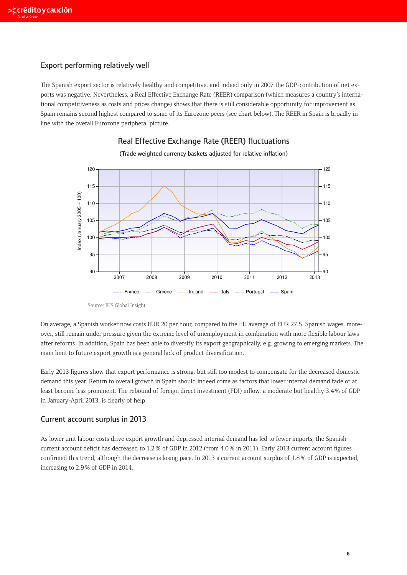### Export performing relatively well

The Spanish export sector is relatively healthy and competitive, and indeed only in 2007 the GDP-contribution of net exports was negative. Nevertheless, a Real Effective Exchange Rate (REER) comparison (which measures a country's international competitiveness as costs and prices change) shows that there is still considerable opportunity for improvement as Spain remains second highest compared to some of its Eurozone peers (see chart below). The REER in Spain is broadly in line with the overall Eurozone peripheral picture.



Real Effective Exchange Rate (REER) fluctuations

Source: IHS Global Insight Source: IHS Global Insight

On average, a Spanish worker now costs EUR 20 per hour, compared to the EU average of EUR 27.5. Spanish wages, moreover, still remain under pressure given the extreme level of unemployment in combination with more flexible labour laws after reforms. In addition, Spain has been able to diversify its export geographically, e.g. growing to emerging markets. The main limit to future export growth is a general lack of product diversification.

Early 2013 figures show that export performance is strong, but still too modest to compensate for the decreased domestic demand this year. Return to overall growth in Spain should indeed come as factors that lower internal demand fade or at least become less prominent. The rebound of foreign direct investment (FDI) inflow, a moderate but healthy 3.4 % of GDP in January-April 2013, is clearly of help. L3 ngures show that export performance is strong, bu Figures show that export performance is responsible to the competent of the competence of the competence for the theorem is responsible for the competence for the competence for the competence for the competence for the co

### Current account surplus in 2013  $\frac{d}{dt}$  depends to overall growth in  $\frac{1}{2}$ that depress in 2013 internal demand fade or at least become less prominent. The rebound of foreign direction o

As lower unit labour costs drive export growth and depressed internal demand has led to fewer imports, the Spanish res lower and laboar costs arrve export growth and depressed internal demand has led to rewer imports, the spanish<br>current account deficit has decreased to 1.2% of GDP in 2012 (from 4.0% in 2011). Early 2013 current accoun confirmed this trend, although the decrease is losing pace. In 2013 a current account surplus of 1.8 % of GDP is expected, increasing to 2.9 % of GDP in 2014. **Current account surplus in 2013**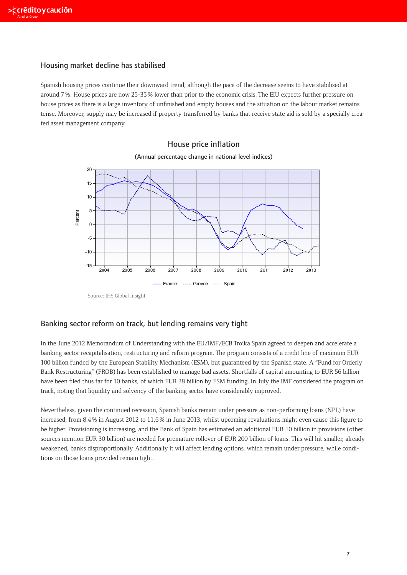## Housing market decline has stabilised

Spanish housing prices continue their downward trend, although the pace of the decrease seems to have stabilised at around 7 %. House prices are now 25-35 % lower than prior to the economic crisis. The EIU expects further pressure on house prices as there is a large inventory of unfinished and empty houses and the situation on the labour market remains tense. Moreover, supply may be increased if property transferred by banks that receive state aid is sold by a specially created asset management company.

### 20 15  $10$ 5 Percent  $\,0\,$  $-5$  $-10$  $-15$ 2004 2005 2006 2007 2008 2009 2010 2011 2012 2013 France ---- Greece ........ Spain

## (Annual percentage change in national level indices) House price inflation

## Banking sector reform on track, but lending remains very tight

banking sector recapitalisation, restructuring and reform program. The program consists of a credit line of maximum EUR<br>consider the United Spain of the United Spain of the program of the program consists of a credit line 100 billion funded by the European Stability Mechanism (ESM), but guaranteed by the Spanish state. A "Fund for Orderly<br>Paul Paul in a state of CROD had been all in the bank of the Spanish state of the Spanish state. A "Fun pairs restructuring (1 ROD) has been established to manage bad assets. Shortralls of capital amounting to EOR 30 billion<br>have been filed thus far for 10 banks, of which EUR 38 billion by ESM funding. In July the IMF consid Function Stability Mechanism (ESM), but guiding the Spanish state in the Spanish state. A "Fund for Spanish st<br>track, noting that liquidity and solvency of the banking sector have considerably improved.  $\mathcal{S}$  and  $\mathcal{S}$  as been established to manage bad assets. Show  $\mathcal{S}$ In the June 2012 Memorandum of Understanding with the EU/IMF/ECB Troika Spain agreed to deepen and accelerate a Bank Restructuring" (FROB) has been established to manage bad assets. Shortfalls of capital amounting to EUR 56 billion

Nevertheless, given the continued recession, Spanish banks remain under pressure as non-performing loans (NPL) have increased, from 8.4% in August 2012 to 11.6% in June 2013, whilst upcoming revaluations might even cause this figure to be higher. Provisioning is increasing, and the Bank of Spain has estimated an additional EUR 10 billion in provisions (other weakened, banks disproportionally. Additionally it will affect lending options, which remain under pressure, while conditions on those loans provided remain tight. sources mention EUR 30 billion) are needed for premature rollover of EUR 200 billion of loans. This will hit smaller, already

Source: IHS Global Insight Source: IHS Global Insight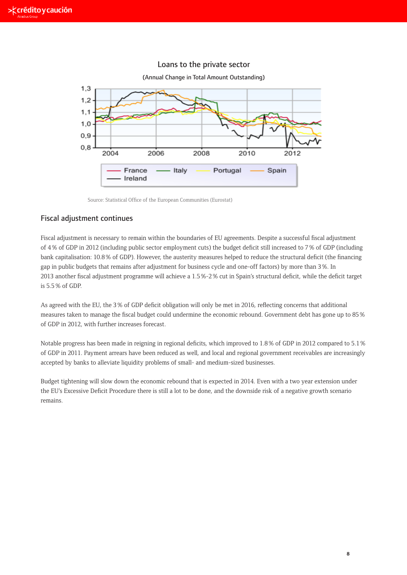

### Loans to the private sector

Source: Statistical Office of the European Communities (Eurostat)

### Fiscal adjustment continues

**Fiscal adjustment continues** of 4 % of GDP in 2012 (including public sector employment cuts) the budget deficit still increased to 7 % of GDP (including gap in public budgets that remains after adjustment for business cycle and one-off factors) by more than 3 %. In 2013 another fiscal adjustment programme will achieve a 1.5 %-2 % cut in Spain's structural deficit, while the deficit target  $GDP.$ Fiscal adjustment is necessary to remain within the boundaries of EU agreements. Despite a successful fiscal adjustment bank capitalisation: 10.8 % of GDP). However, the austerity measures helped to reduce the structural deficit (the financing is 5.5 % of GDP.

GDP). However, the austerity measures helped to reduce the structural deficit (the financing As agreed with the EU, the 3 % of GDP deficit obligation will only be met in 2016, reflecting concerns that additional  $\sim$  25 % measures taken to manage the fiscal budget could undermine the economic rebound. Government debt has gone up to 85 %<br>of CDD in 2012, with further increases foresest Spain's structure deficitive target is  $\frac{1}{2}$ . of GDP in 2012, with further increases forecast.

of GDP in 2011. Payment arrears have been reduced as well, and local and regional government receivables are increasingly accepted by banks to alleviate liquidity problems of small- and medium-sized businesses. Notable progress has been made in reigning in regional deficits, which improved to 1.8 % of GDP in 2012 compared to 5.1 %

the EU's Excessive Deficit Procedure there is still a lot to be done, and the downside risk of a negative growth scenario Budget tightening will slow down the economic rebound that is expected in 2014. Even with a two year extension under remains.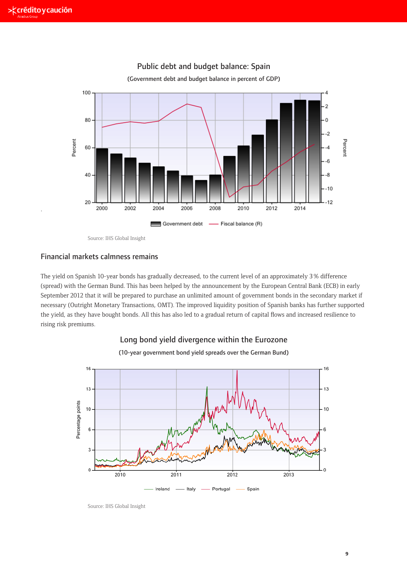.



Public debt and budget balance: Spain

(Government debt and budget balance in percent of GDP)

approximately 3 Source: IHS Global Insight the German Bunde. This has been helped by the German Bunde. This has been helped by the German Bunde. This has been helped by the German Bunde. This has been helped by the German Source: IHS Global Insight

## Financial markets calmness remains in early September 2012 that it will be easily september 2012 that it will be easily September 2012 that it will be easily september 2012 that it will be easily september 2012 that it wil present to purchase an unlimited amount of government bonds in the secondary market is committed.

The yield on Spanish 10-year bonds has gradually decreased, to the current level of an approximately 3 % difference (spread) with the German Bund. This has been helped by the announcement by the European Central Bank (ECB) in early September 2012 that it will be prepared to purchase an unlimited amount of government bonds in the secondary market if necessary (Outright Monetary Transactions, OMT). The improved liquidity position of Spanish banks has further supported the yield, as they have bought bonds. All this has also led to a gradual return of capital flows and increased resilience to<br>. prepared to purchase an uncertainty of government bonds in the secondary material bonds in the secondary market in the secondary market in the secondary material and secondary material and secondary material and secondary rising risk premiums.



Source: IHS Global Insight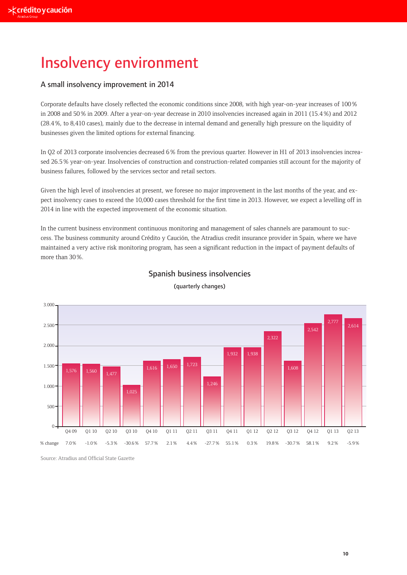## Insolvency environment

## A small insolvency improvement in 2014

Corporate defaults have closely reflected the economic conditions since 2008, with high year-on-year increases of 100 % in 2008 and 50 % in 2009. After a year-on-year decrease in 2010 insolvencies increased again in 2011 (15.4 %) and 2012 (28.4 %, to 8,410 cases), mainly due to the decrease in internal demand and generally high pressure on the liquidity of businesses given the limited options for external financing.

In Q2 of 2013 corporate insolvencies decreased 6 % from the previous quarter. However in H1 of 2013 insolvencies increased 26.5 % year-on-year. Insolvencies of construction and construction-related companies still account for the majority of business failures, followed by the services sector and retail sectors.

Given the high level of insolvencies at present, we foresee no major improvement in the last months of the year, and expect insolvency cases to exceed the 10,000 cases threshold for the first time in 2013. However, we expect a levelling off in 2014 in line with the expected improvement of the economic situation.

In the current business environment continuous monitoring and management of sales channels are paramount to success. The business community around Crédito y Caución, the Atradius credit insurance provider in Spain, where we have maintained a very active risk monitoring program, has seen a significant reduction in the impact of payment defaults of more than 30 %.



## Spanish business insolvencies

(quarterly changes)

Source: Atradius and Official State Gazette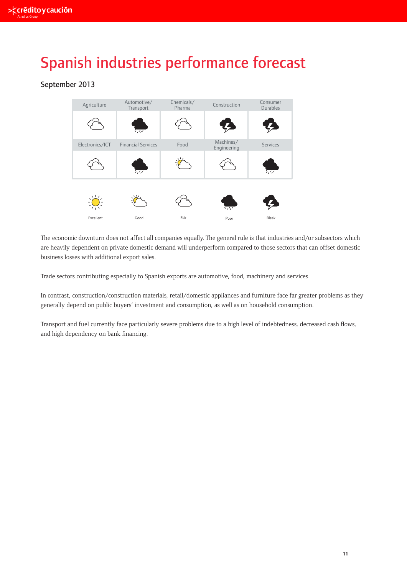# Spanish industries performance forecast

## September 2013



The economic downturn does not affect all companies equally. The general rule is that industries and/or subsectors which are heavily dependent on private domestic demand will underperform compared to those sectors that can offset domestic business losses with additional export sales.

Trade sectors contributing especially to Spanish exports are automotive, food, machinery and services.

In contrast, construction/construction materials, retail/domestic appliances and furniture face far greater problems as they generally depend on public buyers' investment and consumption, as well as on household consumption.

Transport and fuel currently face particularly severe problems due to a high level of indebtedness, decreased cash flows, and high dependency on bank financing.